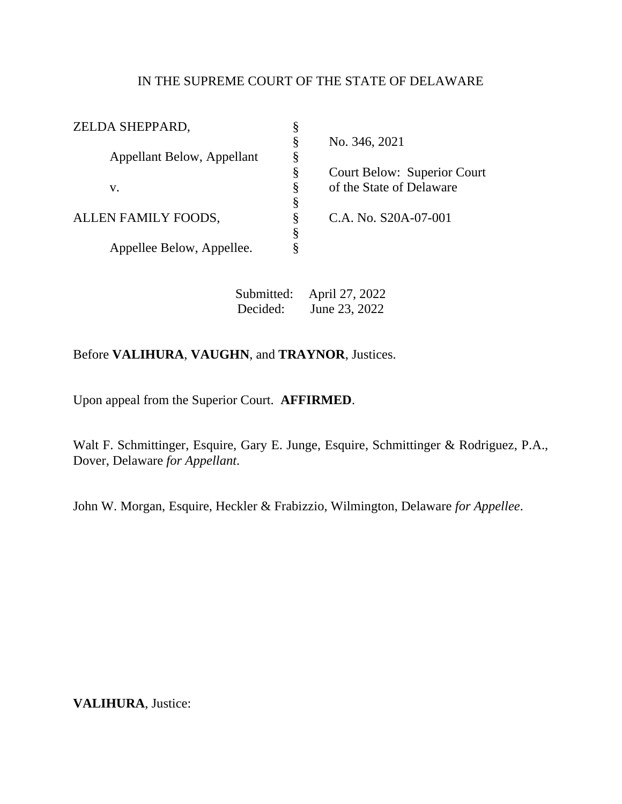## IN THE SUPREME COURT OF THE STATE OF DELAWARE

| ZELDA SHEPPARD,            | § |                             |
|----------------------------|---|-----------------------------|
|                            | Ş | No. 346, 2021               |
| Appellant Below, Appellant | Ş |                             |
|                            | Ş | Court Below: Superior Court |
| V.                         | Ş | of the State of Delaware    |
|                            | Ş |                             |
| ALLEN FAMILY FOODS,        | § | C.A. No. S20A-07-001        |
|                            | Ş |                             |
| Appellee Below, Appellee.  | ş |                             |
|                            |   |                             |

Submitted: April 27, 2022 Decided: June 23, 2022

## Before **VALIHURA**, **VAUGHN**, and **TRAYNOR**, Justices.

Upon appeal from the Superior Court. **AFFIRMED**.

Walt F. Schmittinger, Esquire, Gary E. Junge, Esquire, Schmittinger & Rodriguez, P.A., Dover, Delaware *for Appellant*.

John W. Morgan, Esquire, Heckler & Frabizzio, Wilmington, Delaware *for Appellee*.

**VALIHURA**, Justice: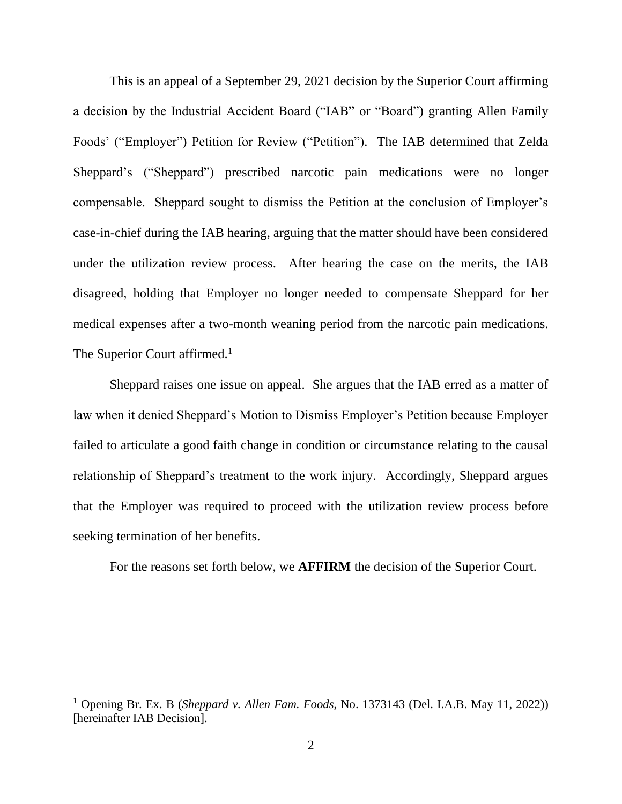This is an appeal of a September 29, 2021 decision by the Superior Court affirming a decision by the Industrial Accident Board ("IAB" or "Board") granting Allen Family Foods' ("Employer") Petition for Review ("Petition"). The IAB determined that Zelda Sheppard's ("Sheppard") prescribed narcotic pain medications were no longer compensable. Sheppard sought to dismiss the Petition at the conclusion of Employer's case-in-chief during the IAB hearing, arguing that the matter should have been considered under the utilization review process. After hearing the case on the merits, the IAB disagreed, holding that Employer no longer needed to compensate Sheppard for her medical expenses after a two-month weaning period from the narcotic pain medications. The Superior Court affirmed.<sup>1</sup>

Sheppard raises one issue on appeal. She argues that the IAB erred as a matter of law when it denied Sheppard's Motion to Dismiss Employer's Petition because Employer failed to articulate a good faith change in condition or circumstance relating to the causal relationship of Sheppard's treatment to the work injury. Accordingly, Sheppard argues that the Employer was required to proceed with the utilization review process before seeking termination of her benefits.

For the reasons set forth below, we **AFFIRM** the decision of the Superior Court.

<sup>1</sup> Opening Br. Ex. B (*Sheppard v. Allen Fam. Foods*, No. 1373143 (Del. I.A.B. May 11, 2022)) [hereinafter IAB Decision].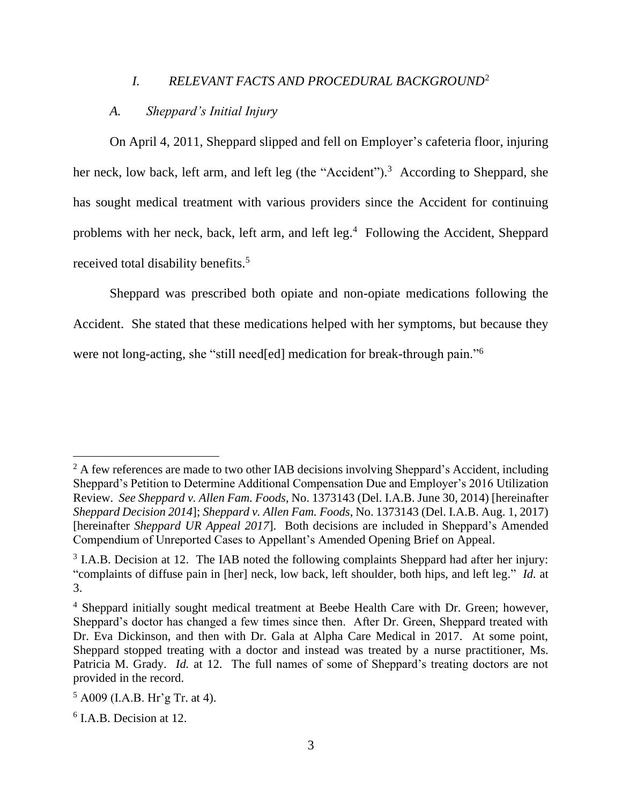#### *I. RELEVANT FACTS AND PROCEDURAL BACKGROUND*<sup>2</sup>

### *A. Sheppard's Initial Injury*

On April 4, 2011, Sheppard slipped and fell on Employer's cafeteria floor, injuring her neck, low back, left arm, and left leg (the "Accident").<sup>3</sup> According to Sheppard, she has sought medical treatment with various providers since the Accident for continuing problems with her neck, back, left arm, and left leg.<sup>4</sup> Following the Accident, Sheppard received total disability benefits.<sup>5</sup>

Sheppard was prescribed both opiate and non-opiate medications following the Accident. She stated that these medications helped with her symptoms, but because they were not long-acting, she "still need[ed] medication for break-through pain."<sup>6</sup>

 $2 \text{ A few references are made to two other IAB decisions involving Shepard's Accident, including }$ Sheppard's Petition to Determine Additional Compensation Due and Employer's 2016 Utilization Review. *See Sheppard v. Allen Fam. Foods*, No. 1373143 (Del. I.A.B. June 30, 2014) [hereinafter *Sheppard Decision 2014*]; *Sheppard v. Allen Fam. Foods*, No. 1373143 (Del. I.A.B. Aug. 1, 2017) [hereinafter *Sheppard UR Appeal 2017*]. Both decisions are included in Sheppard's Amended Compendium of Unreported Cases to Appellant's Amended Opening Brief on Appeal.

 $3$  I.A.B. Decision at 12. The IAB noted the following complaints Sheppard had after her injury: "complaints of diffuse pain in [her] neck, low back, left shoulder, both hips, and left leg." *Id.* at 3.

<sup>&</sup>lt;sup>4</sup> Sheppard initially sought medical treatment at Beebe Health Care with Dr. Green; however, Sheppard's doctor has changed a few times since then. After Dr. Green, Sheppard treated with Dr. Eva Dickinson, and then with Dr. Gala at Alpha Care Medical in 2017. At some point, Sheppard stopped treating with a doctor and instead was treated by a nurse practitioner, Ms. Patricia M. Grady. *Id.* at 12. The full names of some of Sheppard's treating doctors are not provided in the record.

 $5$  A009 (I.A.B. Hr'g Tr. at 4).

<sup>6</sup> I.A.B. Decision at 12.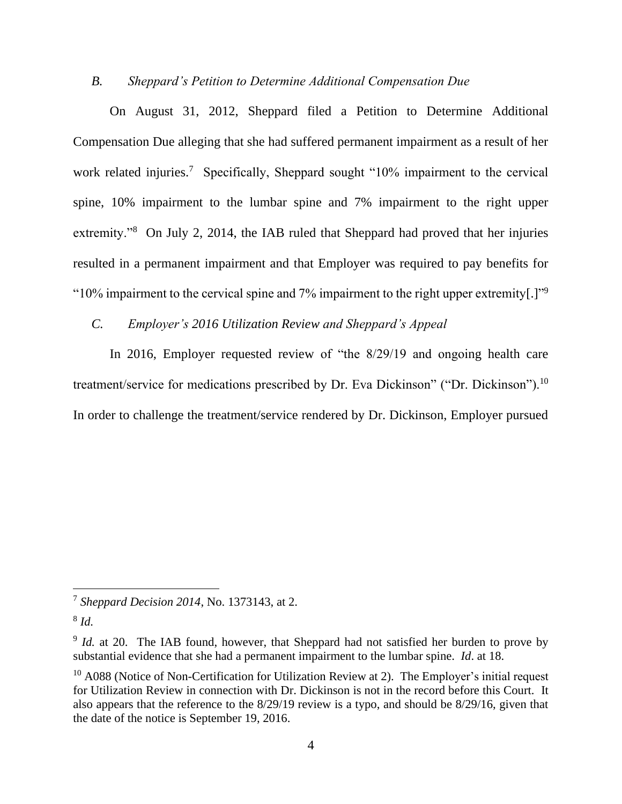## *B. Sheppard's Petition to Determine Additional Compensation Due*

On August 31, 2012, Sheppard filed a Petition to Determine Additional Compensation Due alleging that she had suffered permanent impairment as a result of her work related injuries.<sup>7</sup> Specifically, Sheppard sought "10% impairment to the cervical spine, 10% impairment to the lumbar spine and 7% impairment to the right upper extremity."<sup>8</sup> On July 2, 2014, the IAB ruled that Sheppard had proved that her injuries resulted in a permanent impairment and that Employer was required to pay benefits for "10% impairment to the cervical spine and 7% impairment to the right upper extremity[.]"<sup>9</sup>

## *C. Employer's 2016 Utilization Review and Sheppard's Appeal*

In 2016, Employer requested review of "the 8/29/19 and ongoing health care treatment/service for medications prescribed by Dr. Eva Dickinson" ("Dr. Dickinson").<sup>10</sup> In order to challenge the treatment/service rendered by Dr. Dickinson, Employer pursued

<sup>7</sup> *Sheppard Decision 2014*, No. 1373143, at 2.

<sup>8</sup> *Id.*

<sup>&</sup>lt;sup>9</sup> *Id.* at 20. The IAB found, however, that Sheppard had not satisfied her burden to prove by substantial evidence that she had a permanent impairment to the lumbar spine. *Id*. at 18.

 $10$  A088 (Notice of Non-Certification for Utilization Review at 2). The Employer's initial request for Utilization Review in connection with Dr. Dickinson is not in the record before this Court. It also appears that the reference to the 8/29/19 review is a typo, and should be 8/29/16, given that the date of the notice is September 19, 2016.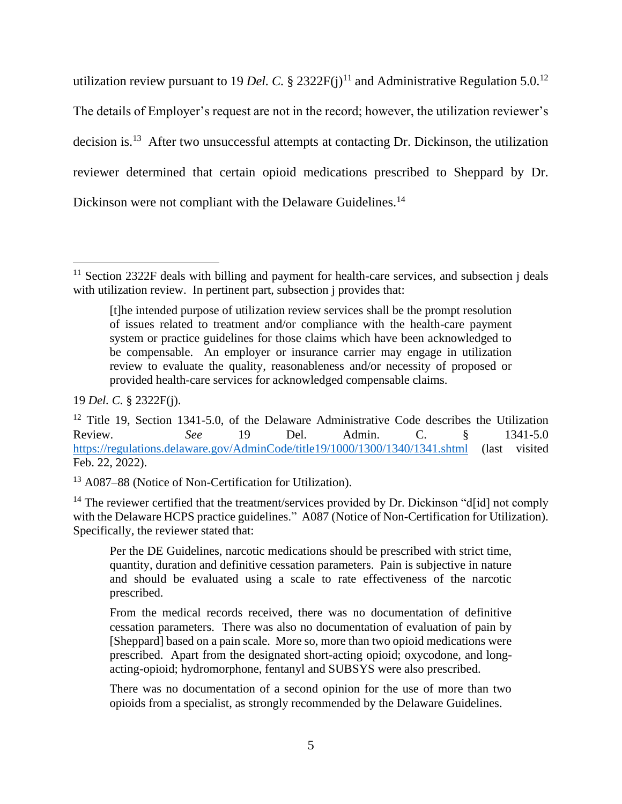utilization review pursuant to 19 *Del. C.* § 2322 $F(j)^{11}$  and Administrative Regulation 5.0.<sup>12</sup> The details of Employer's request are not in the record; however, the utilization reviewer's decision is.<sup>13</sup> After two unsuccessful attempts at contacting Dr. Dickinson, the utilization reviewer determined that certain opioid medications prescribed to Sheppard by Dr. Dickinson were not compliant with the Delaware Guidelines.<sup>14</sup>

19 *Del. C.* § 2322F(j).

<sup>&</sup>lt;sup>11</sup> Section 2322F deals with billing and payment for health-care services, and subsection j deals with utilization review. In pertinent part, subsection *j* provides that:

<sup>[</sup>t]he intended purpose of utilization review services shall be the prompt resolution of issues related to treatment and/or compliance with the health-care payment system or practice guidelines for those claims which have been acknowledged to be compensable. An employer or insurance carrier may engage in utilization review to evaluate the quality, reasonableness and/or necessity of proposed or provided health-care services for acknowledged compensable claims.

 $12$  Title 19, Section 1341-5.0, of the Delaware Administrative Code describes the Utilization Review. *See* 19 Del. Admin. C. § 1341-5.0 <https://regulations.delaware.gov/AdminCode/title19/1000/1300/1340/1341.shtml> (last visited Feb. 22, 2022).

<sup>13</sup> A087–88 (Notice of Non-Certification for Utilization).

 $14$  The reviewer certified that the treatment/services provided by Dr. Dickinson "d[id] not comply with the Delaware HCPS practice guidelines." A087 (Notice of Non-Certification for Utilization). Specifically, the reviewer stated that:

Per the DE Guidelines, narcotic medications should be prescribed with strict time, quantity, duration and definitive cessation parameters. Pain is subjective in nature and should be evaluated using a scale to rate effectiveness of the narcotic prescribed.

From the medical records received, there was no documentation of definitive cessation parameters. There was also no documentation of evaluation of pain by [Sheppard] based on a pain scale. More so, more than two opioid medications were prescribed. Apart from the designated short-acting opioid; oxycodone, and longacting-opioid; hydromorphone, fentanyl and SUBSYS were also prescribed.

There was no documentation of a second opinion for the use of more than two opioids from a specialist, as strongly recommended by the Delaware Guidelines.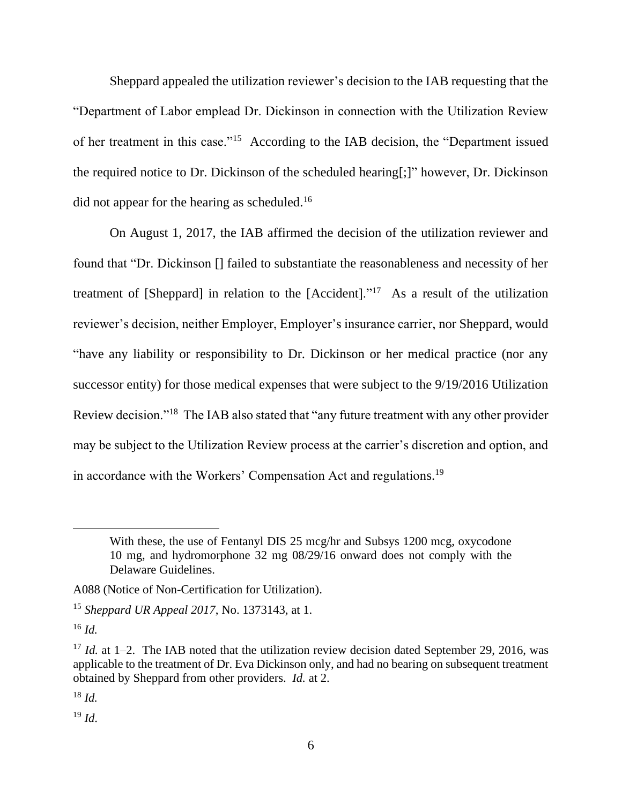Sheppard appealed the utilization reviewer's decision to the IAB requesting that the "Department of Labor emplead Dr. Dickinson in connection with the Utilization Review of her treatment in this case."<sup>15</sup> According to the IAB decision, the "Department issued the required notice to Dr. Dickinson of the scheduled hearing[;]" however, Dr. Dickinson did not appear for the hearing as scheduled.<sup>16</sup>

On August 1, 2017, the IAB affirmed the decision of the utilization reviewer and found that "Dr. Dickinson [] failed to substantiate the reasonableness and necessity of her treatment of [Sheppard] in relation to the  $[Accident].$ <sup>17</sup> As a result of the utilization reviewer's decision, neither Employer, Employer's insurance carrier, nor Sheppard, would "have any liability or responsibility to Dr. Dickinson or her medical practice (nor any successor entity) for those medical expenses that were subject to the 9/19/2016 Utilization Review decision."<sup>18</sup> The IAB also stated that "any future treatment with any other provider may be subject to the Utilization Review process at the carrier's discretion and option, and in accordance with the Workers' Compensation Act and regulations.<sup>19</sup>

<sup>16</sup> *Id.*

<sup>18</sup> *Id.*

 $^{19}$  *Id.* 

With these, the use of Fentanyl DIS 25 mcg/hr and Subsys 1200 mcg, oxycodone 10 mg, and hydromorphone 32 mg 08/29/16 onward does not comply with the Delaware Guidelines.

A088 (Notice of Non-Certification for Utilization).

<sup>15</sup> *Sheppard UR Appeal 2017*, No. 1373143, at 1.

<sup>&</sup>lt;sup>17</sup> *Id.* at 1–2. The IAB noted that the utilization review decision dated September 29, 2016, was applicable to the treatment of Dr. Eva Dickinson only, and had no bearing on subsequent treatment obtained by Sheppard from other providers. *Id.* at 2.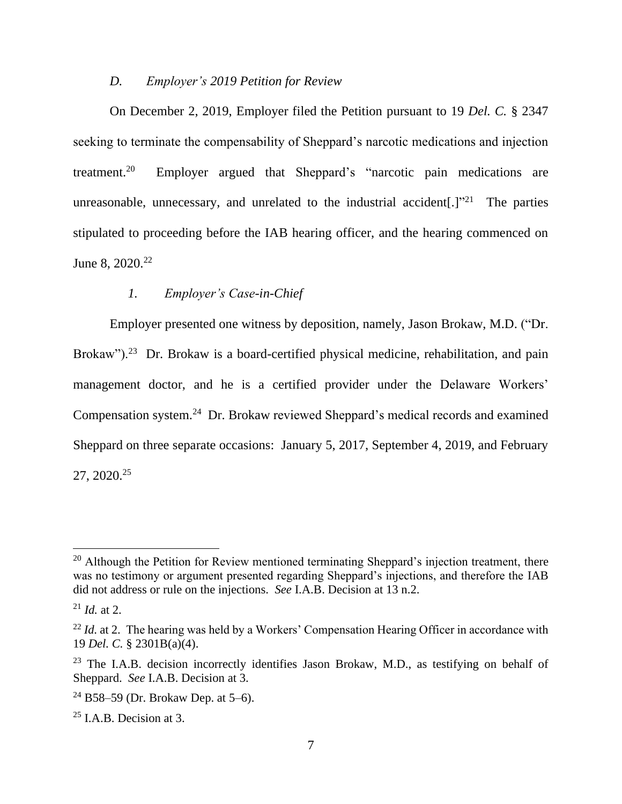#### *D. Employer's 2019 Petition for Review*

On December 2, 2019, Employer filed the Petition pursuant to 19 *Del. C.* § 2347 seeking to terminate the compensability of Sheppard's narcotic medications and injection treatment.<sup>20</sup> Employer argued that Sheppard's "narcotic pain medications are unreasonable, unnecessary, and unrelated to the industrial accident[.] $"^{21}$  The parties stipulated to proceeding before the IAB hearing officer, and the hearing commenced on June 8, 2020.<sup>22</sup>

## *1. Employer's Case-in-Chief*

Employer presented one witness by deposition, namely, Jason Brokaw, M.D. ("Dr. Brokaw").<sup>23</sup> Dr. Brokaw is a board-certified physical medicine, rehabilitation, and pain management doctor, and he is a certified provider under the Delaware Workers' Compensation system.<sup>24</sup> Dr. Brokaw reviewed Sheppard's medical records and examined Sheppard on three separate occasions: January 5, 2017, September 4, 2019, and February 27, 2020.<sup>25</sup>

 $20$  Although the Petition for Review mentioned terminating Sheppard's injection treatment, there was no testimony or argument presented regarding Sheppard's injections, and therefore the IAB did not address or rule on the injections. *See* I.A.B. Decision at 13 n.2.

 $^{21}$  *Id.* at 2.

<sup>&</sup>lt;sup>22</sup> *Id.* at 2. The hearing was held by a Workers' Compensation Hearing Officer in accordance with 19 *Del. C.* § 2301B(a)(4).

 $23$  The I.A.B. decision incorrectly identifies Jason Brokaw, M.D., as testifying on behalf of Sheppard. *See* I.A.B. Decision at 3.

 $24$  B58–59 (Dr. Brokaw Dep. at 5–6).

 $25$  I.A.B. Decision at 3.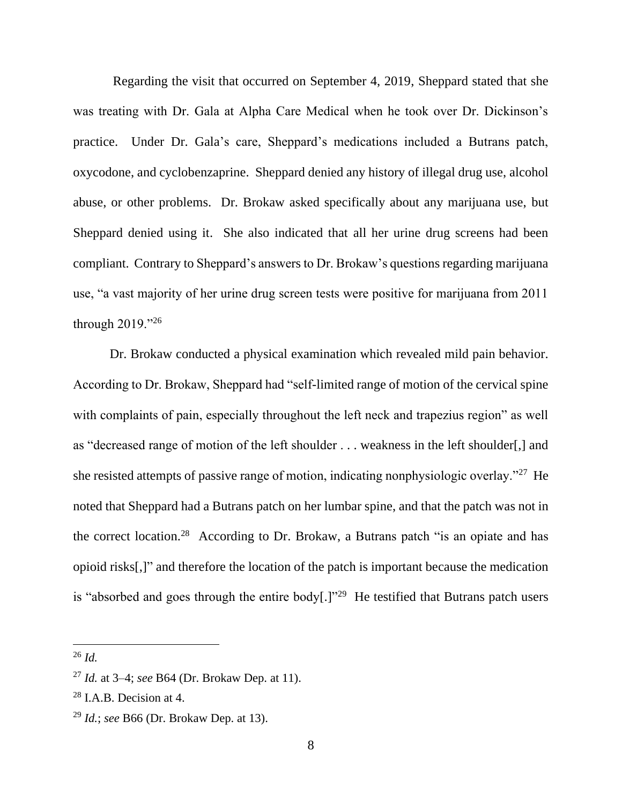Regarding the visit that occurred on September 4, 2019, Sheppard stated that she was treating with Dr. Gala at Alpha Care Medical when he took over Dr. Dickinson's practice. Under Dr. Gala's care, Sheppard's medications included a Butrans patch, oxycodone, and cyclobenzaprine. Sheppard denied any history of illegal drug use, alcohol abuse, or other problems. Dr. Brokaw asked specifically about any marijuana use, but Sheppard denied using it. She also indicated that all her urine drug screens had been compliant. Contrary to Sheppard's answersto Dr. Brokaw's questions regarding marijuana use, "a vast majority of her urine drug screen tests were positive for marijuana from 2011 through 2019."<sup>26</sup>

Dr. Brokaw conducted a physical examination which revealed mild pain behavior. According to Dr. Brokaw, Sheppard had "self-limited range of motion of the cervical spine with complaints of pain, especially throughout the left neck and trapezius region" as well as "decreased range of motion of the left shoulder . . . weakness in the left shoulder[,] and she resisted attempts of passive range of motion, indicating nonphysiologic overlay."<sup>27</sup> He noted that Sheppard had a Butrans patch on her lumbar spine, and that the patch was not in the correct location.<sup>28</sup> According to Dr. Brokaw, a Butrans patch "is an opiate and has opioid risks[,]" and therefore the location of the patch is important because the medication is "absorbed and goes through the entire body $[.]$ "<sup>29</sup> He testified that Butrans patch users

<sup>26</sup> *Id.*

<sup>27</sup> *Id.* at 3–4; *see* B64 (Dr. Brokaw Dep. at 11).

 $28$  I.A.B. Decision at 4.

<sup>29</sup> *Id.*; *see* B66 (Dr. Brokaw Dep. at 13).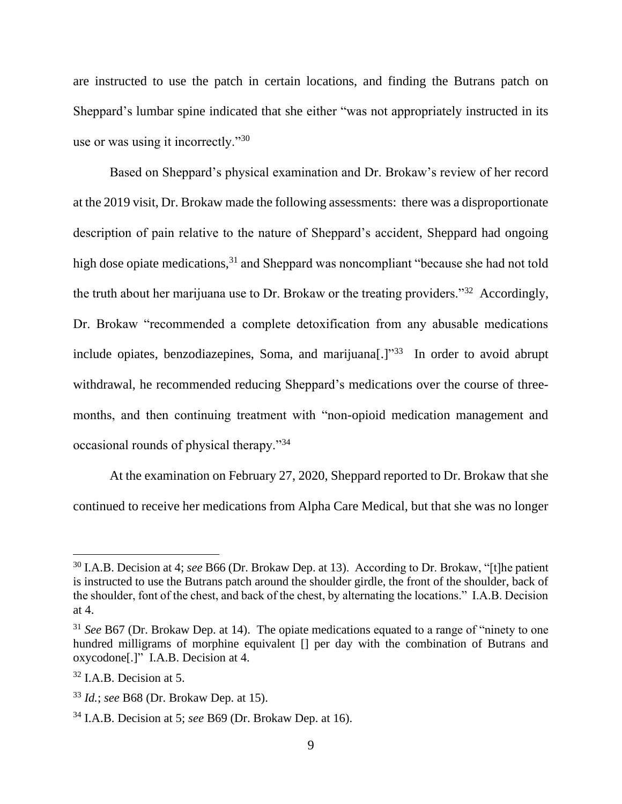are instructed to use the patch in certain locations, and finding the Butrans patch on Sheppard's lumbar spine indicated that she either "was not appropriately instructed in its use or was using it incorrectly."<sup>30</sup>

Based on Sheppard's physical examination and Dr. Brokaw's review of her record at the 2019 visit, Dr. Brokaw made the following assessments: there was a disproportionate description of pain relative to the nature of Sheppard's accident, Sheppard had ongoing high dose opiate medications,  $31$  and Sheppard was noncompliant "because she had not told the truth about her marijuana use to Dr. Brokaw or the treating providers."<sup>32</sup> Accordingly, Dr. Brokaw "recommended a complete detoxification from any abusable medications include opiates, benzodiazepines, Soma, and marijuana[.]"<sup>33</sup> In order to avoid abrupt withdrawal, he recommended reducing Sheppard's medications over the course of threemonths, and then continuing treatment with "non-opioid medication management and occasional rounds of physical therapy."<sup>34</sup>

At the examination on February 27, 2020, Sheppard reported to Dr. Brokaw that she continued to receive her medications from Alpha Care Medical, but that she was no longer

<sup>30</sup> I.A.B. Decision at 4; *see* B66 (Dr. Brokaw Dep. at 13). According to Dr. Brokaw, "[t]he patient is instructed to use the Butrans patch around the shoulder girdle, the front of the shoulder, back of the shoulder, font of the chest, and back of the chest, by alternating the locations." I.A.B. Decision at 4.

<sup>&</sup>lt;sup>31</sup> *See* B67 (Dr. Brokaw Dep. at 14). The opiate medications equated to a range of "ninety to one" hundred milligrams of morphine equivalent  $\Box$  per day with the combination of Butrans and oxycodone[.]" I.A.B. Decision at 4.

 $32$  I.A.B. Decision at 5.

<sup>33</sup> *Id.*; *see* B68 (Dr. Brokaw Dep. at 15).

<sup>34</sup> I.A.B. Decision at 5; *see* B69 (Dr. Brokaw Dep. at 16).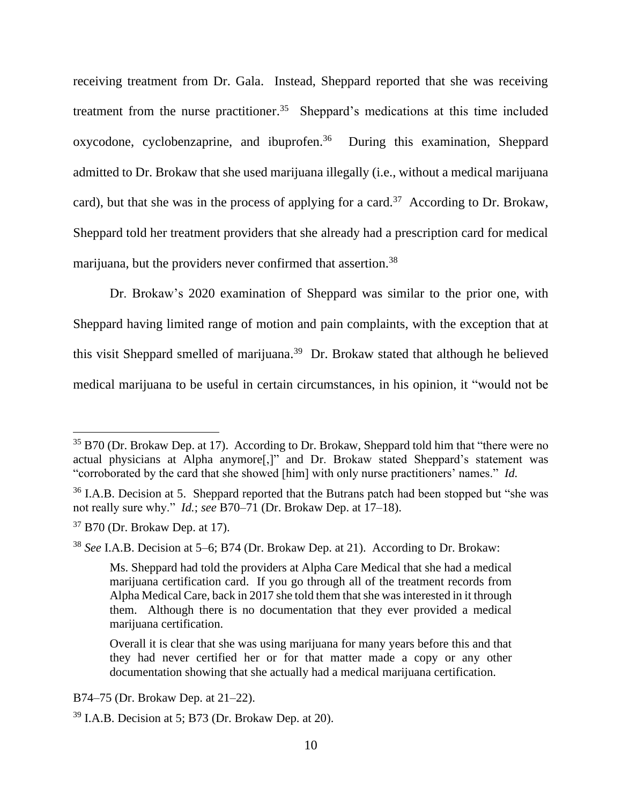receiving treatment from Dr. Gala. Instead, Sheppard reported that she was receiving treatment from the nurse practitioner.<sup>35</sup> Sheppard's medications at this time included oxycodone, cyclobenzaprine, and ibuprofen.<sup>36</sup> During this examination, Sheppard admitted to Dr. Brokaw that she used marijuana illegally (i.e., without a medical marijuana card), but that she was in the process of applying for a card.<sup>37</sup> According to Dr. Brokaw, Sheppard told her treatment providers that she already had a prescription card for medical marijuana, but the providers never confirmed that assertion.<sup>38</sup>

Dr. Brokaw's 2020 examination of Sheppard was similar to the prior one, with Sheppard having limited range of motion and pain complaints, with the exception that at this visit Sheppard smelled of marijuana. 39 Dr. Brokaw stated that although he believed medical marijuana to be useful in certain circumstances, in his opinion, it "would not be

B74–75 (Dr. Brokaw Dep. at 21–22).

 $35 B70$  (Dr. Brokaw Dep. at 17). According to Dr. Brokaw, Sheppard told him that "there were no actual physicians at Alpha anymore[,]" and Dr. Brokaw stated Sheppard's statement was "corroborated by the card that she showed [him] with only nurse practitioners' names." *Id.*

<sup>&</sup>lt;sup>36</sup> I.A.B. Decision at 5. Sheppard reported that the Butrans patch had been stopped but "she was not really sure why." *Id.*; *see* B70–71 (Dr. Brokaw Dep. at 17–18).

 $37$  B70 (Dr. Brokaw Dep. at 17).

<sup>38</sup> *See* I.A.B. Decision at 5–6; B74 (Dr. Brokaw Dep. at 21). According to Dr. Brokaw:

Ms. Sheppard had told the providers at Alpha Care Medical that she had a medical marijuana certification card. If you go through all of the treatment records from Alpha Medical Care, back in 2017 she told them that she was interested in it through them. Although there is no documentation that they ever provided a medical marijuana certification.

Overall it is clear that she was using marijuana for many years before this and that they had never certified her or for that matter made a copy or any other documentation showing that she actually had a medical marijuana certification.

 $39$  I.A.B. Decision at 5; B73 (Dr. Brokaw Dep. at 20).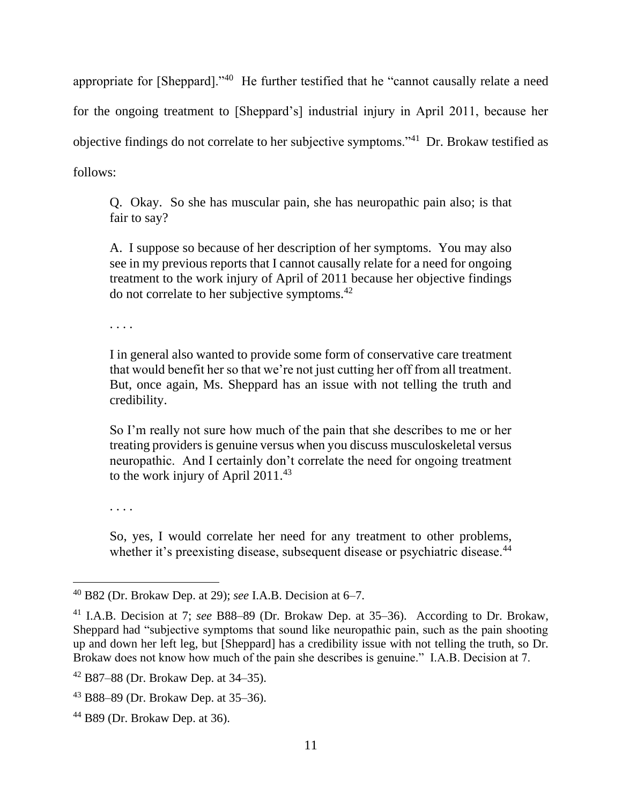appropriate for [Sheppard]."<sup>40</sup> He further testified that he "cannot causally relate a need for the ongoing treatment to [Sheppard's] industrial injury in April 2011, because her objective findings do not correlate to her subjective symptoms."<sup>41</sup> Dr. Brokaw testified as follows:

Q. Okay. So she has muscular pain, she has neuropathic pain also; is that fair to say?

A. I suppose so because of her description of her symptoms. You may also see in my previous reports that I cannot causally relate for a need for ongoing treatment to the work injury of April of 2011 because her objective findings do not correlate to her subjective symptoms.<sup>42</sup>

. . . .

I in general also wanted to provide some form of conservative care treatment that would benefit her so that we're not just cutting her off from all treatment. But, once again, Ms. Sheppard has an issue with not telling the truth and credibility.

So I'm really not sure how much of the pain that she describes to me or her treating providers is genuine versus when you discuss musculoskeletal versus neuropathic. And I certainly don't correlate the need for ongoing treatment to the work injury of April 2011.<sup>43</sup>

. . . .

So, yes, I would correlate her need for any treatment to other problems, whether it's preexisting disease, subsequent disease or psychiatric disease.<sup>44</sup>

<sup>40</sup> B82 (Dr. Brokaw Dep. at 29); *see* I.A.B. Decision at 6–7.

<sup>41</sup> I.A.B. Decision at 7; *see* B88–89 (Dr. Brokaw Dep. at 35–36). According to Dr. Brokaw, Sheppard had "subjective symptoms that sound like neuropathic pain, such as the pain shooting up and down her left leg, but [Sheppard] has a credibility issue with not telling the truth, so Dr. Brokaw does not know how much of the pain she describes is genuine." I.A.B. Decision at 7.

<sup>42</sup> B87–88 (Dr. Brokaw Dep. at 34–35).

<sup>43</sup> B88–89 (Dr. Brokaw Dep. at 35–36).

<sup>44</sup> B89 (Dr. Brokaw Dep. at 36).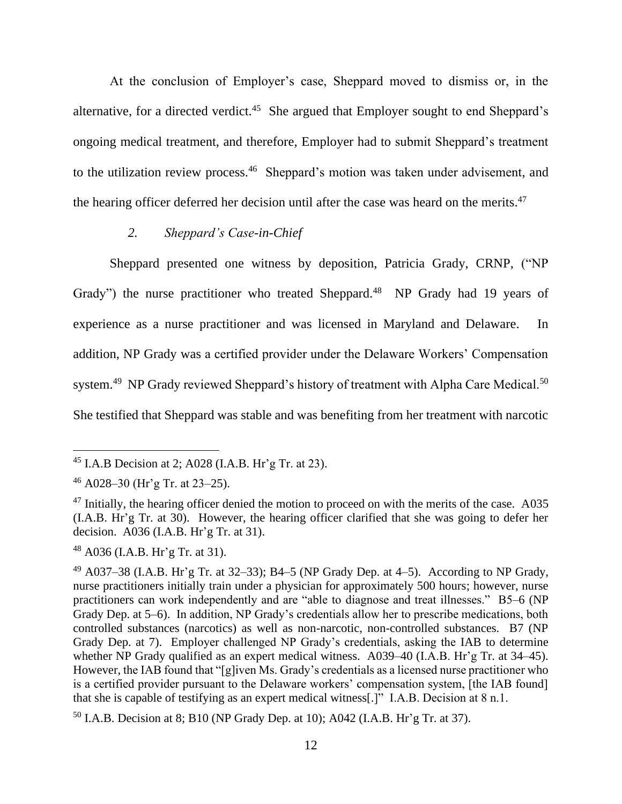At the conclusion of Employer's case, Sheppard moved to dismiss or, in the alternative, for a directed verdict.<sup>45</sup> She argued that Employer sought to end Sheppard's ongoing medical treatment, and therefore, Employer had to submit Sheppard's treatment to the utilization review process.<sup>46</sup> Sheppard's motion was taken under advisement, and the hearing officer deferred her decision until after the case was heard on the merits.<sup>47</sup>

## *2. Sheppard's Case-in-Chief*

Sheppard presented one witness by deposition, Patricia Grady, CRNP, ("NP Grady") the nurse practitioner who treated Sheppard.<sup>48</sup> NP Grady had 19 years of experience as a nurse practitioner and was licensed in Maryland and Delaware. In addition, NP Grady was a certified provider under the Delaware Workers' Compensation system.<sup>49</sup> NP Grady reviewed Sheppard's history of treatment with Alpha Care Medical.<sup>50</sup> She testified that Sheppard was stable and was benefiting from her treatment with narcotic

<sup>48</sup> A036 (I.A.B. Hr'g Tr. at 31).

<sup>45</sup> I.A.B Decision at 2; A028 (I.A.B. Hr'g Tr. at 23).

 $46$  A028–30 (Hr'g Tr. at 23–25).

 $47$  Initially, the hearing officer denied the motion to proceed on with the merits of the case. A035 (I.A.B. Hr'g Tr. at 30). However, the hearing officer clarified that she was going to defer her decision. A036 (I.A.B. Hr'g Tr. at 31).

 $^{49}$  A037–38 (I.A.B. Hr'g Tr. at 32–33); B4–5 (NP Grady Dep. at 4–5). According to NP Grady, nurse practitioners initially train under a physician for approximately 500 hours; however, nurse practitioners can work independently and are "able to diagnose and treat illnesses." B5–6 (NP Grady Dep. at 5–6). In addition, NP Grady's credentials allow her to prescribe medications, both controlled substances (narcotics) as well as non-narcotic, non-controlled substances. B7 (NP Grady Dep. at 7). Employer challenged NP Grady's credentials, asking the IAB to determine whether NP Grady qualified as an expert medical witness. A039–40 (I.A.B. Hr'g Tr. at 34–45). However, the IAB found that "[g]iven Ms. Grady's credentials as a licensed nurse practitioner who is a certified provider pursuant to the Delaware workers' compensation system, [the IAB found] that she is capable of testifying as an expert medical witness[.]" I.A.B. Decision at 8 n.1.

 $50$  I.A.B. Decision at 8; B10 (NP Grady Dep. at 10); A042 (I.A.B. Hr'g Tr. at 37).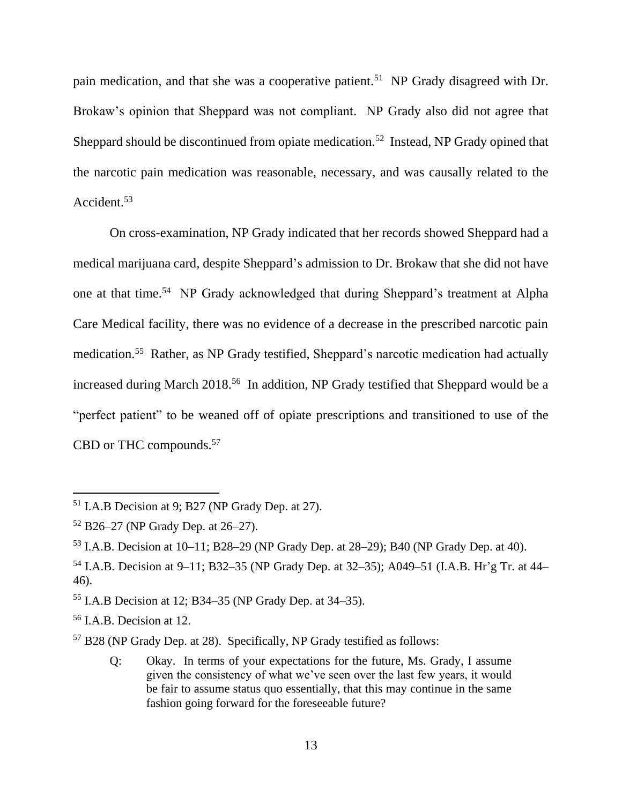pain medication, and that she was a cooperative patient.<sup>51</sup> NP Grady disagreed with Dr. Brokaw's opinion that Sheppard was not compliant. NP Grady also did not agree that Sheppard should be discontinued from opiate medication.<sup>52</sup> Instead, NP Grady opined that the narcotic pain medication was reasonable, necessary, and was causally related to the Accident. 53

On cross-examination, NP Grady indicated that her records showed Sheppard had a medical marijuana card, despite Sheppard's admission to Dr. Brokaw that she did not have one at that time.<sup>54</sup> NP Grady acknowledged that during Sheppard's treatment at Alpha Care Medical facility, there was no evidence of a decrease in the prescribed narcotic pain medication.<sup>55</sup> Rather, as NP Grady testified, Sheppard's narcotic medication had actually increased during March 2018.<sup>56</sup> In addition, NP Grady testified that Sheppard would be a "perfect patient" to be weaned off of opiate prescriptions and transitioned to use of the CBD or THC compounds.<sup>57</sup>

Q: Okay. In terms of your expectations for the future, Ms. Grady, I assume given the consistency of what we've seen over the last few years, it would be fair to assume status quo essentially, that this may continue in the same fashion going forward for the foreseeable future?

<sup>51</sup> I.A.B Decision at 9; B27 (NP Grady Dep. at 27).

<sup>52</sup> B26–27 (NP Grady Dep. at 26–27).

<sup>53</sup> I.A.B. Decision at 10–11; B28–29 (NP Grady Dep. at 28–29); B40 (NP Grady Dep. at 40).

<sup>54</sup> I.A.B. Decision at 9–11; B32–35 (NP Grady Dep. at 32–35); A049–51 (I.A.B. Hr'g Tr. at 44– 46).

<sup>55</sup> I.A.B Decision at 12; B34–35 (NP Grady Dep. at 34–35).

<sup>56</sup> I.A.B. Decision at 12.

<sup>57</sup> B28 (NP Grady Dep. at 28). Specifically, NP Grady testified as follows: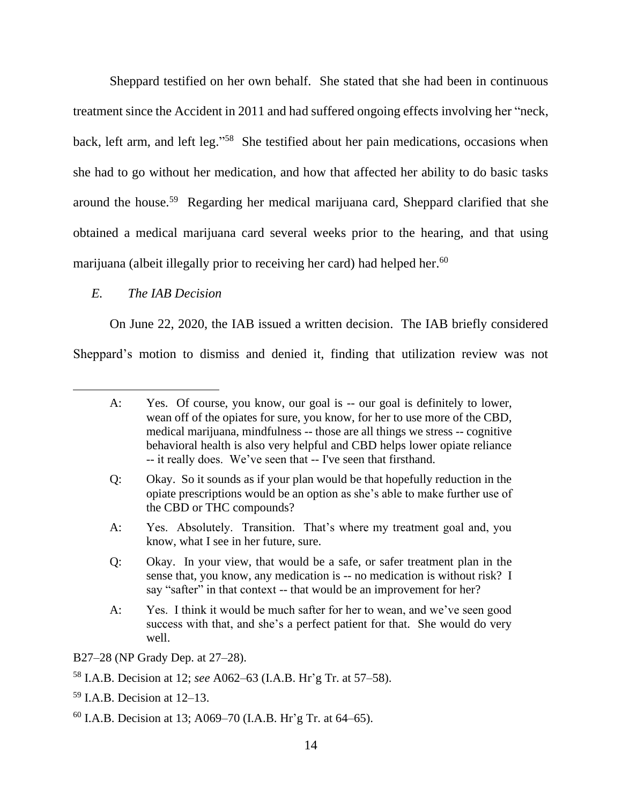Sheppard testified on her own behalf. She stated that she had been in continuous treatment since the Accident in 2011 and had suffered ongoing effects involving her "neck, back, left arm, and left leg."<sup>58</sup> She testified about her pain medications, occasions when she had to go without her medication, and how that affected her ability to do basic tasks around the house.<sup>59</sup> Regarding her medical marijuana card, Sheppard clarified that she obtained a medical marijuana card several weeks prior to the hearing, and that using marijuana (albeit illegally prior to receiving her card) had helped her.<sup>60</sup>

## *E. The IAB Decision*

On June 22, 2020, the IAB issued a written decision. The IAB briefly considered Sheppard's motion to dismiss and denied it, finding that utilization review was not

- Q: Okay. So it sounds as if your plan would be that hopefully reduction in the opiate prescriptions would be an option as she's able to make further use of the CBD or THC compounds?
- A: Yes. Absolutely. Transition. That's where my treatment goal and, you know, what I see in her future, sure.
- Q: Okay. In your view, that would be a safe, or safer treatment plan in the sense that, you know, any medication is -- no medication is without risk? I say "safter" in that context -- that would be an improvement for her?
- A: Yes. I think it would be much safter for her to wean, and we've seen good success with that, and she's a perfect patient for that. She would do very well.

B27–28 (NP Grady Dep. at 27–28).

- <sup>58</sup> I.A.B. Decision at 12; *see* A062–63 (I.A.B. Hr'g Tr. at 57–58).
- $59$  I.A.B. Decision at 12–13.
- $^{60}$  I.A.B. Decision at 13; A069–70 (I.A.B. Hr'g Tr. at 64–65).

A: Yes. Of course, you know, our goal is -- our goal is definitely to lower, wean off of the opiates for sure, you know, for her to use more of the CBD, medical marijuana, mindfulness -- those are all things we stress -- cognitive behavioral health is also very helpful and CBD helps lower opiate reliance -- it really does. We've seen that -- I've seen that firsthand.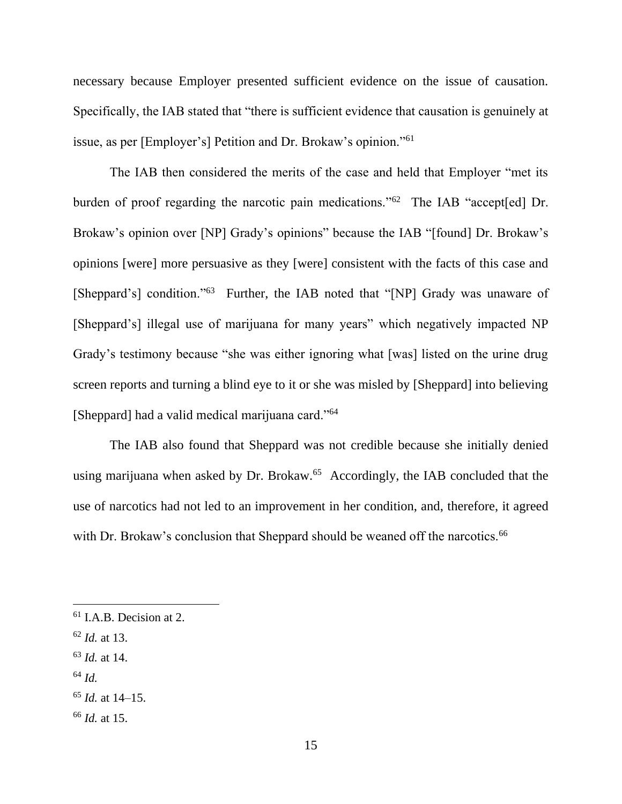necessary because Employer presented sufficient evidence on the issue of causation. Specifically, the IAB stated that "there is sufficient evidence that causation is genuinely at issue, as per [Employer's] Petition and Dr. Brokaw's opinion."<sup>61</sup>

The IAB then considered the merits of the case and held that Employer "met its burden of proof regarding the narcotic pain medications."<sup>62</sup> The IAB "accept[ed] Dr. Brokaw's opinion over [NP] Grady's opinions" because the IAB "[found] Dr. Brokaw's opinions [were] more persuasive as they [were] consistent with the facts of this case and [Sheppard's] condition."<sup>63</sup> Further, the IAB noted that "[NP] Grady was unaware of [Sheppard's] illegal use of marijuana for many years" which negatively impacted NP Grady's testimony because "she was either ignoring what [was] listed on the urine drug screen reports and turning a blind eye to it or she was misled by [Sheppard] into believing [Sheppard] had a valid medical marijuana card."<sup>64</sup>

The IAB also found that Sheppard was not credible because she initially denied using marijuana when asked by Dr. Brokaw.<sup>65</sup> Accordingly, the IAB concluded that the use of narcotics had not led to an improvement in her condition, and, therefore, it agreed with Dr. Brokaw's conclusion that Sheppard should be weaned off the narcotics.<sup>66</sup>

- <sup>62</sup> *Id.* at 13.
- <sup>63</sup> *Id.* at 14.
- <sup>64</sup> *Id.*

<sup>&</sup>lt;sup>61</sup> I.A.B. Decision at 2.

<sup>65</sup> *Id.* at 14–15.

<sup>66</sup> *Id.* at 15.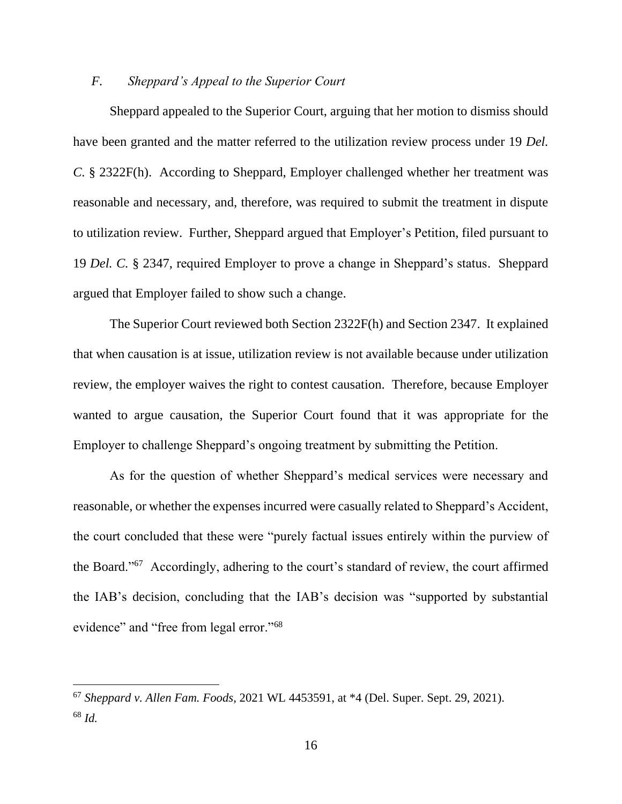#### *F. Sheppard's Appeal to the Superior Court*

Sheppard appealed to the Superior Court, arguing that her motion to dismiss should have been granted and the matter referred to the utilization review process under 19 *Del. C.* § 2322F(h). According to Sheppard, Employer challenged whether her treatment was reasonable and necessary, and, therefore, was required to submit the treatment in dispute to utilization review. Further, Sheppard argued that Employer's Petition, filed pursuant to 19 *Del. C.* § 2347, required Employer to prove a change in Sheppard's status. Sheppard argued that Employer failed to show such a change.

The Superior Court reviewed both Section 2322F(h) and Section 2347. It explained that when causation is at issue, utilization review is not available because under utilization review, the employer waives the right to contest causation. Therefore, because Employer wanted to argue causation, the Superior Court found that it was appropriate for the Employer to challenge Sheppard's ongoing treatment by submitting the Petition.

As for the question of whether Sheppard's medical services were necessary and reasonable, or whether the expenses incurred were casually related to Sheppard's Accident, the court concluded that these were "purely factual issues entirely within the purview of the Board."<sup>67</sup> Accordingly, adhering to the court's standard of review, the court affirmed the IAB's decision, concluding that the IAB's decision was "supported by substantial evidence" and "free from legal error."<sup>68</sup>

<sup>67</sup> *Sheppard v. Allen Fam. Foods*, 2021 WL 4453591, at \*4 (Del. Super. Sept. 29, 2021). <sup>68</sup> *Id.*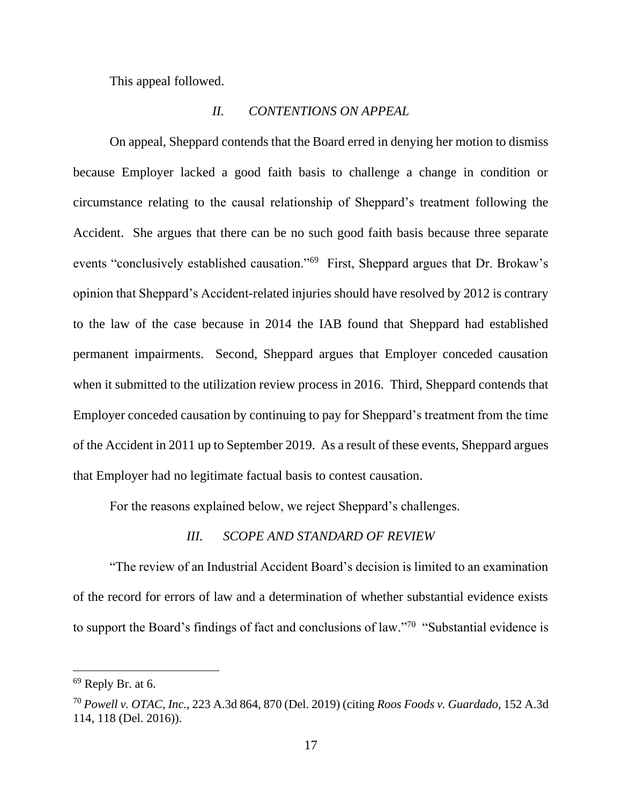This appeal followed.

#### *II. CONTENTIONS ON APPEAL*

On appeal, Sheppard contends that the Board erred in denying her motion to dismiss because Employer lacked a good faith basis to challenge a change in condition or circumstance relating to the causal relationship of Sheppard's treatment following the Accident. She argues that there can be no such good faith basis because three separate events "conclusively established causation."<sup>69</sup> First, Sheppard argues that Dr. Brokaw's opinion that Sheppard's Accident-related injuries should have resolved by 2012 is contrary to the law of the case because in 2014 the IAB found that Sheppard had established permanent impairments. Second, Sheppard argues that Employer conceded causation when it submitted to the utilization review process in 2016. Third, Sheppard contends that Employer conceded causation by continuing to pay for Sheppard's treatment from the time of the Accident in 2011 up to September 2019. As a result of these events, Sheppard argues that Employer had no legitimate factual basis to contest causation.

For the reasons explained below, we reject Sheppard's challenges.

#### *III. SCOPE AND STANDARD OF REVIEW*

"The review of an Industrial Accident Board's decision is limited to an examination of the record for errors of law and a determination of whether substantial evidence exists to support the Board's findings of fact and conclusions of law."<sup>70</sup> "Substantial evidence is

 $69$  Reply Br. at 6.

<sup>70</sup> *Powell v. OTAC, Inc.*, 223 A.3d 864, 870 (Del. 2019) (citing *Roos Foods v. Guardado*, 152 A.3d 114, 118 (Del. 2016)).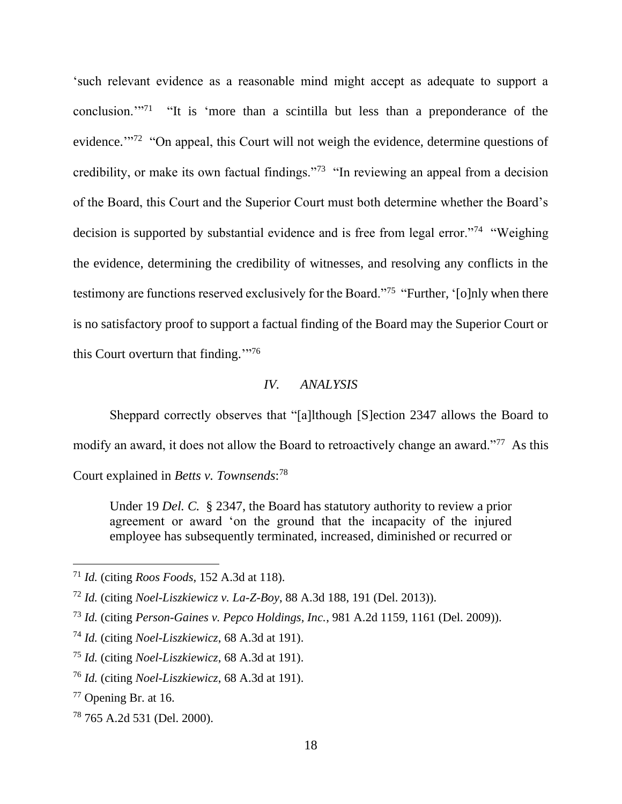'such relevant evidence as a reasonable mind might accept as adequate to support a conclusion. $1^{17}$  "It is 'more than a scintilla but less than a preponderance of the evidence."<sup>72</sup> "On appeal, this Court will not weigh the evidence, determine questions of credibility, or make its own factual findings."<sup>73</sup> "In reviewing an appeal from a decision of the Board, this Court and the Superior Court must both determine whether the Board's decision is supported by substantial evidence and is free from legal error."<sup>74</sup> "Weighing the evidence, determining the credibility of witnesses, and resolving any conflicts in the testimony are functions reserved exclusively for the Board."<sup>75</sup> "Further, '[o]nly when there is no satisfactory proof to support a factual finding of the Board may the Superior Court or this Court overturn that finding."<sup>76</sup>

## *IV. ANALYSIS*

Sheppard correctly observes that "[a]lthough [S]ection 2347 allows the Board to modify an award, it does not allow the Board to retroactively change an award."<sup>77</sup> As this Court explained in *Betts v. Townsends*: 78

Under 19 *Del. C.* § 2347, the Board has statutory authority to review a prior agreement or award 'on the ground that the incapacity of the injured employee has subsequently terminated, increased, diminished or recurred or

<sup>71</sup> *Id.* (citing *Roos Foods*, 152 A.3d at 118).

<sup>72</sup> *Id.* (citing *Noel-Liszkiewicz v. La-Z-Boy*, 88 A.3d 188, 191 (Del. 2013)).

<sup>73</sup> *Id.* (citing *Person-Gaines v. Pepco Holdings, Inc.*, 981 A.2d 1159, 1161 (Del. 2009)).

<sup>74</sup> *Id.* (citing *Noel-Liszkiewicz*, 68 A.3d at 191).

<sup>75</sup> *Id.* (citing *Noel-Liszkiewicz*, 68 A.3d at 191).

<sup>76</sup> *Id.* (citing *Noel-Liszkiewicz*, 68 A.3d at 191).

<sup>77</sup> Opening Br. at 16.

<sup>78</sup> 765 A.2d 531 (Del. 2000).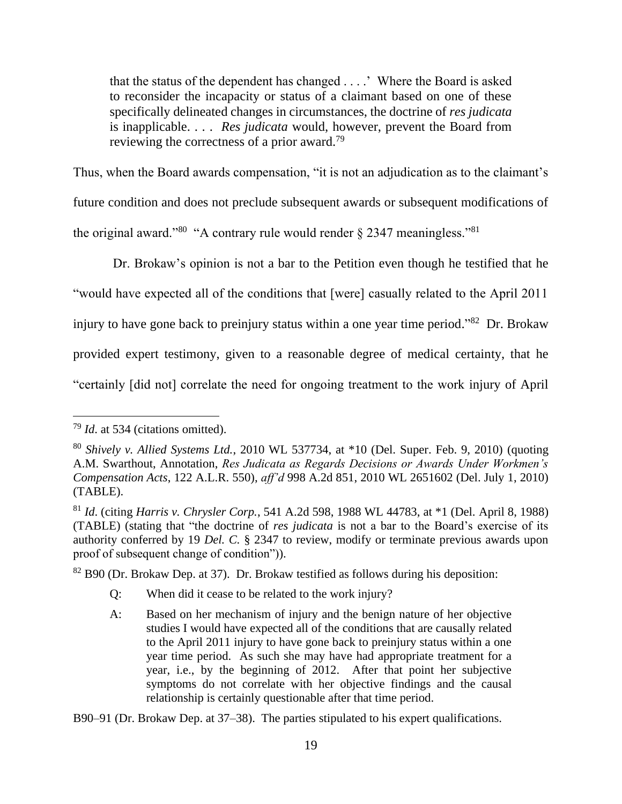that the status of the dependent has changed . . . .' Where the Board is asked to reconsider the incapacity or status of a claimant based on one of these specifically delineated changes in circumstances, the doctrine of *res judicata* is inapplicable. . . . *Res judicata* would, however, prevent the Board from reviewing the correctness of a prior award.<sup>79</sup>

Thus, when the Board awards compensation, "it is not an adjudication as to the claimant's future condition and does not preclude subsequent awards or subsequent modifications of the original award."<sup>80</sup> "A contrary rule would render  $\S 2347$  meaningless."<sup>81</sup>

Dr. Brokaw's opinion is not a bar to the Petition even though he testified that he "would have expected all of the conditions that [were] casually related to the April 2011 injury to have gone back to preinjury status within a one year time period."<sup>82</sup> Dr. Brokaw provided expert testimony, given to a reasonable degree of medical certainty, that he "certainly [did not] correlate the need for ongoing treatment to the work injury of April

<sup>82</sup> B90 (Dr. Brokaw Dep. at 37). Dr. Brokaw testified as follows during his deposition:

- Q: When did it cease to be related to the work injury?
- A: Based on her mechanism of injury and the benign nature of her objective studies I would have expected all of the conditions that are causally related to the April 2011 injury to have gone back to preinjury status within a one year time period. As such she may have had appropriate treatment for a year, i.e., by the beginning of 2012. After that point her subjective symptoms do not correlate with her objective findings and the causal relationship is certainly questionable after that time period.

<sup>79</sup> *Id*. at 534 (citations omitted).

<sup>80</sup> *Shively v. Allied Systems Ltd.*, 2010 WL 537734, at \*10 (Del. Super. Feb. 9, 2010) (quoting A.M. Swarthout, Annotation, *Res Judicata as Regards Decisions or Awards Under Workmen's Compensation Acts*, 122 A.L.R. 550), *aff'd* 998 A.2d 851, 2010 WL 2651602 (Del. July 1, 2010) (TABLE).

<sup>81</sup> *Id*. (citing *Harris v. Chrysler Corp.*, 541 A.2d 598, 1988 WL 44783, at \*1 (Del. April 8, 1988) (TABLE) (stating that "the doctrine of *res judicata* is not a bar to the Board's exercise of its authority conferred by 19 *Del. C.* § 2347 to review, modify or terminate previous awards upon proof of subsequent change of condition")).

B90–91 (Dr. Brokaw Dep. at 37–38). The parties stipulated to his expert qualifications.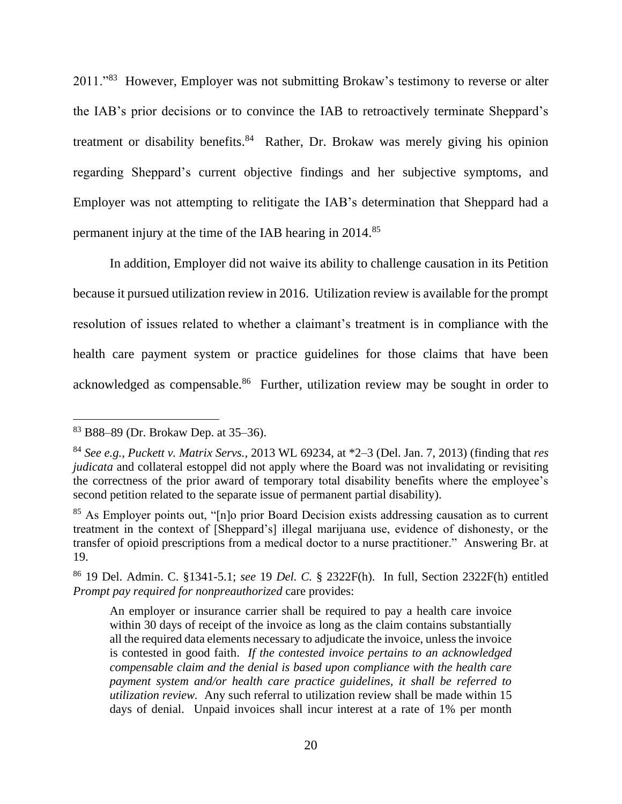2011."<sup>83</sup> However, Employer was not submitting Brokaw's testimony to reverse or alter the IAB's prior decisions or to convince the IAB to retroactively terminate Sheppard's treatment or disability benefits.<sup>84</sup> Rather, Dr. Brokaw was merely giving his opinion regarding Sheppard's current objective findings and her subjective symptoms, and Employer was not attempting to relitigate the IAB's determination that Sheppard had a permanent injury at the time of the IAB hearing in 2014.<sup>85</sup>

In addition, Employer did not waive its ability to challenge causation in its Petition because it pursued utilization review in 2016. Utilization review is available for the prompt resolution of issues related to whether a claimant's treatment is in compliance with the health care payment system or practice guidelines for those claims that have been acknowledged as compensable.<sup>86</sup> Further, utilization review may be sought in order to

<sup>83</sup> B88–89 (Dr. Brokaw Dep. at 35–36).

<sup>84</sup> *See e.g.*, *Puckett v. Matrix Servs.*, 2013 WL 69234, at \*2–3 (Del. Jan. 7, 2013) (finding that *res judicata* and collateral estoppel did not apply where the Board was not invalidating or revisiting the correctness of the prior award of temporary total disability benefits where the employee's second petition related to the separate issue of permanent partial disability).

<sup>&</sup>lt;sup>85</sup> As Employer points out, "[n]o prior Board Decision exists addressing causation as to current treatment in the context of [Sheppard's] illegal marijuana use, evidence of dishonesty, or the transfer of opioid prescriptions from a medical doctor to a nurse practitioner." Answering Br. at 19.

<sup>86</sup> 19 Del. Admin. C. §1341-5.1; *see* 19 *Del. C.* § 2322F(h). In full, Section 2322F(h) entitled *Prompt pay required for nonpreauthorized* care provides:

An employer or insurance carrier shall be required to pay a health care invoice within 30 days of receipt of the invoice as long as the claim contains substantially all the required data elements necessary to adjudicate the invoice, unless the invoice is contested in good faith. *If the contested invoice pertains to an acknowledged compensable claim and the denial is based upon compliance with the health care payment system and/or health care practice guidelines, it shall be referred to utilization review.* Any such referral to utilization review shall be made within 15 days of denial. Unpaid invoices shall incur interest at a rate of 1% per month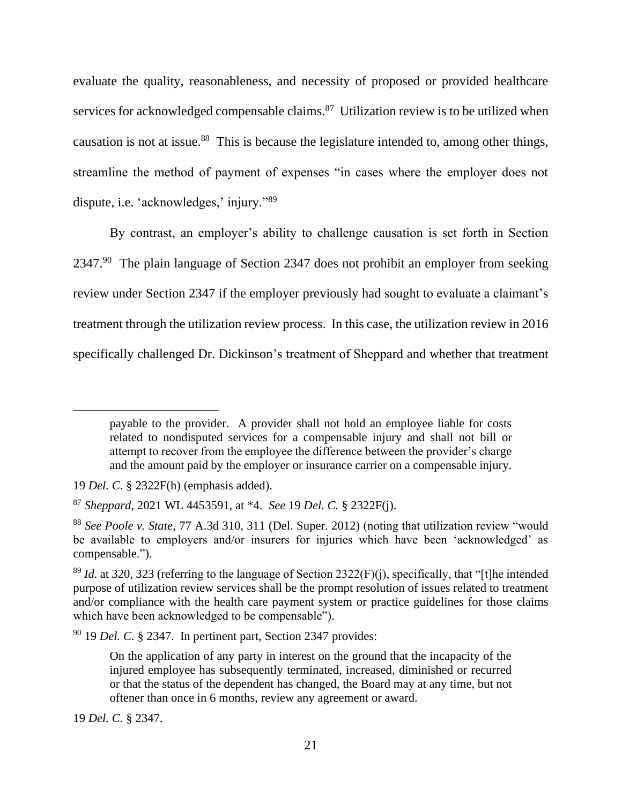evaluate the quality, reasonableness, and necessity of proposed or provided healthcare services for acknowledged compensable claims.<sup>87</sup> Utilization review is to be utilized when causation is not at issue.<sup>88</sup> This is because the legislature intended to, among other things, streamline the method of payment of expenses "in cases where the employer does not dispute, i.e. 'acknowledges,' injury."<sup>89</sup>

By contrast, an employer's ability to challenge causation is set forth in Section 2347.<sup>90</sup> The plain language of Section 2347 does not prohibit an employer from seeking review under Section 2347 if the employer previously had sought to evaluate a claimant's treatment through the utilization review process. In this case, the utilization review in 2016 specifically challenged Dr. Dickinson's treatment of Sheppard and whether that treatment

<sup>90</sup> 19 *Del. C.* § 2347. In pertinent part, Section 2347 provides:

19 *Del. C.* § 2347.

payable to the provider. A provider shall not hold an employee liable for costs related to nondisputed services for a compensable injury and shall not bill or attempt to recover from the employee the difference between the provider's charge and the amount paid by the employer or insurance carrier on a compensable injury.

<sup>19</sup> *Del. C.* § 2322F(h) (emphasis added).

<sup>87</sup> *Sheppard*, 2021 WL 4453591, at \*4. *See* 19 *Del. C.* § 2322F(j).

<sup>88</sup> *See Poole v. State*, 77 A.3d 310, 311 (Del. Super. 2012) (noting that utilization review "would be available to employers and/or insurers for injuries which have been 'acknowledged' as compensable.").

<sup>&</sup>lt;sup>89</sup> *Id.* at 320, 323 (referring to the language of Section 2322(F)(j), specifically, that "[t]he intended purpose of utilization review services shall be the prompt resolution of issues related to treatment and/or compliance with the health care payment system or practice guidelines for those claims which have been acknowledged to be compensable").

On the application of any party in interest on the ground that the incapacity of the injured employee has subsequently terminated, increased, diminished or recurred or that the status of the dependent has changed, the Board may at any time, but not oftener than once in 6 months, review any agreement or award.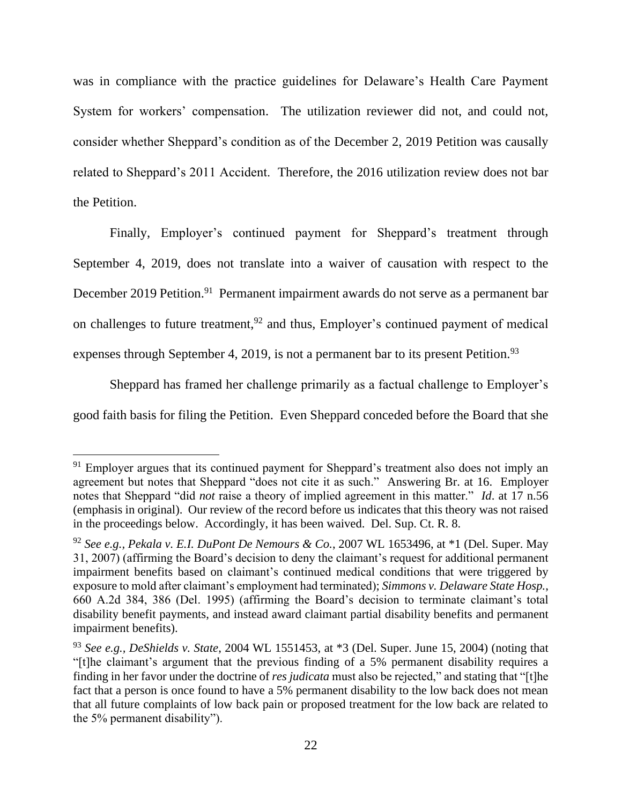was in compliance with the practice guidelines for Delaware's Health Care Payment System for workers' compensation. The utilization reviewer did not, and could not, consider whether Sheppard's condition as of the December 2, 2019 Petition was causally related to Sheppard's 2011 Accident. Therefore, the 2016 utilization review does not bar the Petition.

Finally, Employer's continued payment for Sheppard's treatment through September 4, 2019, does not translate into a waiver of causation with respect to the December 2019 Petition.<sup>91</sup> Permanent impairment awards do not serve as a permanent bar on challenges to future treatment,  $92$  and thus, Employer's continued payment of medical expenses through September 4, 2019, is not a permanent bar to its present Petition.<sup>93</sup>

Sheppard has framed her challenge primarily as a factual challenge to Employer's good faith basis for filing the Petition. Even Sheppard conceded before the Board that she

<sup>&</sup>lt;sup>91</sup> Employer argues that its continued payment for Sheppard's treatment also does not imply an agreement but notes that Sheppard "does not cite it as such." Answering Br. at 16. Employer notes that Sheppard "did *not* raise a theory of implied agreement in this matter." *Id*. at 17 n.56 (emphasis in original). Our review of the record before us indicates that this theory was not raised in the proceedings below. Accordingly, it has been waived. Del. Sup. Ct. R. 8.

<sup>92</sup> *See e.g., Pekala v. E.I. DuPont De Nemours & Co.*, 2007 WL 1653496, at \*1 (Del. Super. May 31, 2007) (affirming the Board's decision to deny the claimant's request for additional permanent impairment benefits based on claimant's continued medical conditions that were triggered by exposure to mold after claimant's employment had terminated); *Simmons v. Delaware State Hosp.*, 660 A.2d 384, 386 (Del. 1995) (affirming the Board's decision to terminate claimant's total disability benefit payments, and instead award claimant partial disability benefits and permanent impairment benefits).

<sup>93</sup> *See e.g., DeShields v. State*, 2004 WL 1551453, at \*3 (Del. Super. June 15, 2004) (noting that "[t]he claimant's argument that the previous finding of a 5% permanent disability requires a finding in her favor under the doctrine of *res judicata* must also be rejected," and stating that "[t]he fact that a person is once found to have a 5% permanent disability to the low back does not mean that all future complaints of low back pain or proposed treatment for the low back are related to the 5% permanent disability").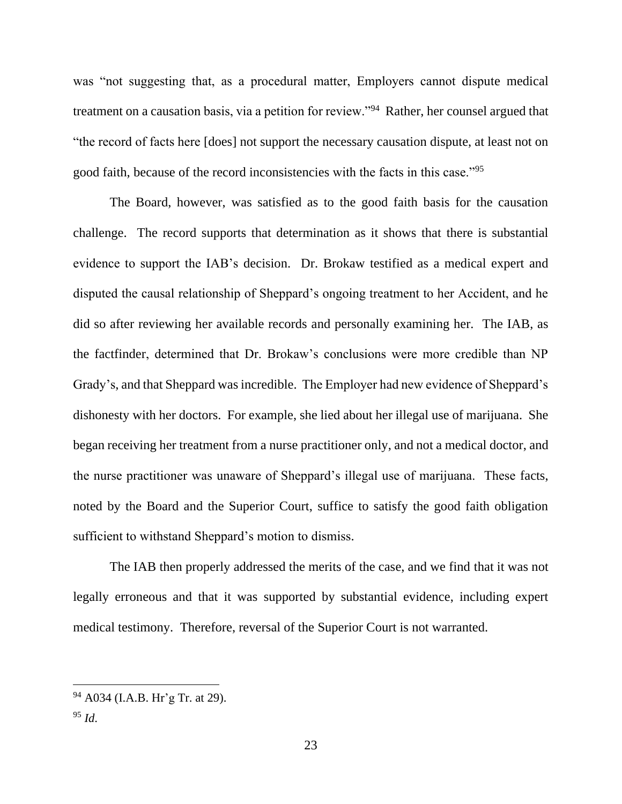was "not suggesting that, as a procedural matter, Employers cannot dispute medical treatment on a causation basis, via a petition for review."<sup>94</sup> Rather, her counsel argued that "the record of facts here [does] not support the necessary causation dispute, at least not on good faith, because of the record inconsistencies with the facts in this case."<sup>95</sup>

The Board, however, was satisfied as to the good faith basis for the causation challenge. The record supports that determination as it shows that there is substantial evidence to support the IAB's decision. Dr. Brokaw testified as a medical expert and disputed the causal relationship of Sheppard's ongoing treatment to her Accident, and he did so after reviewing her available records and personally examining her. The IAB, as the factfinder, determined that Dr. Brokaw's conclusions were more credible than NP Grady's, and that Sheppard was incredible. The Employer had new evidence of Sheppard's dishonesty with her doctors. For example, she lied about her illegal use of marijuana. She began receiving her treatment from a nurse practitioner only, and not a medical doctor, and the nurse practitioner was unaware of Sheppard's illegal use of marijuana. These facts, noted by the Board and the Superior Court, suffice to satisfy the good faith obligation sufficient to withstand Sheppard's motion to dismiss.

The IAB then properly addressed the merits of the case, and we find that it was not legally erroneous and that it was supported by substantial evidence, including expert medical testimony. Therefore, reversal of the Superior Court is not warranted.

<sup>94</sup> A034 (I.A.B. Hr'g Tr. at 29).

 $^{95}$  *Id.*